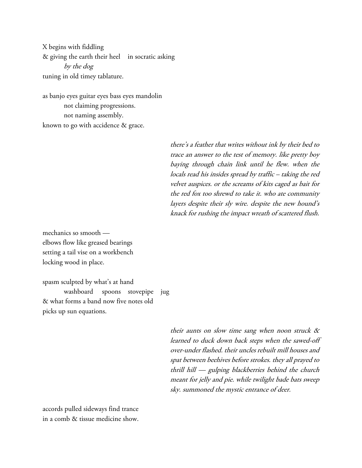X begins with fiddling & giving the earth their heel in socratic asking by the dog tuning in old timey tablature.

as banjo eyes guitar eyes bass eyes mandolin not claiming progressions. not naming assembly. known to go with accidence & grace.

> there's a feather that writes without ink by their bed to trace an answer to the test of memory. like pretty boy baying through chain link until he flew. when the locals read his insides spread by traffic – taking the red velvet auspices. or the screams of kits caged as bait for the red fox too shrewd to take it. who ate community layers despite their sly wire. despite the new hound's knack for rushing the impact wreath of scattered flush.

mechanics so smooth elbows flow like greased bearings setting a tail vise on a workbench locking wood in place.

spasm sculpted by what's at hand washboard spoons stovepipe jug & what forms a band now five notes old picks up sun equations.

> their aunts on slow time sang when noon struck & learned to duck down back steps when the sawed-off over-under flashed. their uncles rebuilt mill houses and spat between beehives before strokes. they all prayed to thrill hill — gulping blackberries behind the church meant for jelly and pie. while twilight bade bats sweep sky. summoned the mystic entrance of deer.

accords pulled sideways find trance in a comb & tissue medicine show.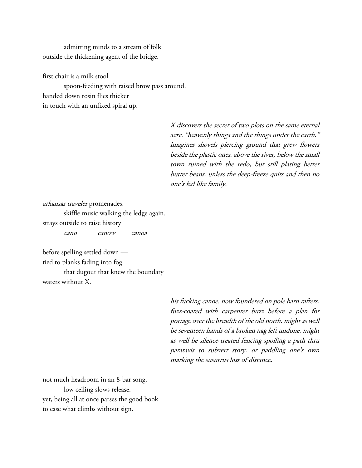admitting minds to a stream of folk outside the thickening agent of the bridge.

first chair is a milk stool spoon-feeding with raised brow pass around. handed down rosin flies thicker in touch with an unfixed spiral up.

> <sup>X</sup> discovers the secret of two plots on the same eternal acre. "heavenly things and the things under the earth." imagines shovels piercing ground that grew flowers beside the plastic ones. above the river, below the small town ruined with the redo, but still plating better butter beans. unless the deep-freeze quits and then no one's fed like family.

arkansas traveler promenades. skiffle music walking the ledge again. strays outside to raise history cano canow canoa

before spelling settled down tied to planks fading into fog. that dugout that knew the boundary waters without X.

> his fucking canoe. now foundered on pole barn rafters. fuzz-coated with carpenter buzz before a plan for portage over the breadth of the old north. might as well be seventeen hands of a broken nag left undone. might as well be silence-treated fencing spoiling a path thru parataxis to subvert story. or paddling one's own marking the susurrus loss of distance.

not much headroom in an 8-bar song. low ceiling slows release. yet, being all at once parses the good book to ease what climbs without sign.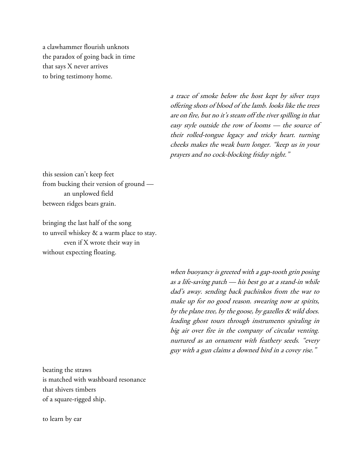a clawhammer flourish unknots the paradox of going back in time that says X never arrives to bring testimony home.

> a trace of smoke below the host kept by silver trays offering shots of blood of the lamb. looks like the trees are on fire, but no it's steam off the river spilling in that easy style outside the row of looms — the source of their rolled-tongue legacy and tricky heart. turning cheeks makes the weak burn longer. "keep us in your prayers and no cock-blocking friday night."

this session can't keep feet from bucking their version of ground an unplowed field between ridges bears grain.

bringing the last half of the song to unveil whiskey & a warm place to stay. even if X wrote their way in without expecting floating.

> when buoyancy is greeted with a gap-tooth grin posing as a life-saving patch — his best go at a stand-in while dad's away. sending back pachinkos from the war to make up for no good reason. swearing now at spirits, by the plane tree, by the goose, by gazelles & wild does. leading ghost tours through instruments spiraling in big air over fire in the company of circular venting. nurtured as an ornament with feathery seeds. "every guy with a gun claims a downed bird in a covey rise."

beating the straws is matched with washboard resonance that shivers timbers of a square-rigged ship.

to learn by ear